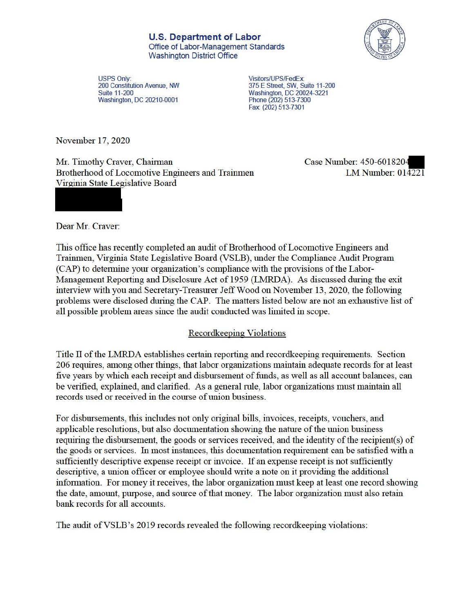

USPS Only: Visitors/UPS/FedEx:<br>200 Constitution Avenue, NW 375 E Street, SW, Su Washington, DC 20210-0001

200 Constitution Avenue, **NW** 375 E Street, SW, Suite 11-200 Washington, DC 20024-3221<br>Phone (202) 513-7300 Fax (202) 513-7301

November 17, 2020

Mr. Timothy Craver, Chairman Case Number: 450-6018204<br>Brotherhood of Locomotive Engineers and Trainmen LM Number: 014221 Brotherhood of Locomotive Engineers and Trainmen Virginia State Legislative Board

Dear Mr. Craver:

This office has recently completed an audit of Brotherhood of Locomotive Engineers and Trainmen, Virginia State Legislative Board (VSLB), under the Compliance Audit Program (CAP) to determine your organization's compliance with the provisions of the Labor-Management Reporting and Disclosure Act of 1959 (LMRDA). As discussed during the exit interview with you and Secretary-Treasurer Jeff Wood on November 13, 2020, the following problems were disclosed during the CAP. The matters listed below are not an exhaustive list of all possible problem areas since the audit conducted was limited in scope.

## Recordkeeping Violations

Title II of the LMRDA establishes certain reporting and recordkeeping requirements. Section 206 requires, among other things, that labor organizations maintain adequate records for at least five years by which each receipt and disbursement of funds, as well as all account balances, can be verified, explained, and clarified. As a general rule, labor organizations must maintain all records used or received in the course of union business.

For disbursements, this includes not only original bills, invoices, receipts, vouchers, and applicable resolutions, but also documentation showing the nature of the union business requiring the disbursement, the goods or services received, and the identity of the recipient(s) of the goods or services. In most instances, this documentation requirement can be satisfied with a sufficiently descriptive expense receipt or invoice. If an expense receipt is not sufficiently descriptive, a union officer or employee should write a note on it providing the additional information. For money it receives, the labor organization must keep at least one record showing the date, amount, purpose, and source of that money. The labor organization must also retain bank records for all accounts.

The audit of VSLB's 2019 records revealed the following recordkeeping violations: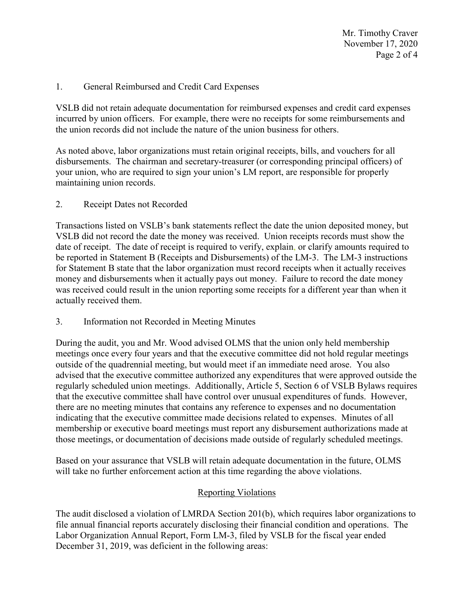Mr. Timothy Craver November 17, 2020 Page 2 of 4

# 1. General Reimbursed and Credit Card Expenses

VSLB did not retain adequate documentation for reimbursed expenses and credit card expenses incurred by union officers. For example, there were no receipts for some reimbursements and the union records did not include the nature of the union business for others.

As noted above, labor organizations must retain original receipts, bills, and vouchers for all disbursements. The chairman and secretary-treasurer (or corresponding principal officers) of your union, who are required to sign your union's LM report, are responsible for properly maintaining union records.

## 2. Receipt Dates not Recorded

Transactions listed on VSLB's bank statements reflect the date the union deposited money, but VSLB did not record the date the money was received. Union receipts records must show the date of receipt. The date of receipt is required to verify, explain, or clarify amounts required to be reported in Statement B (Receipts and Disbursements) of the LM-3. The LM-3 instructions for Statement B state that the labor organization must record receipts when it actually receives money and disbursements when it actually pays out money. Failure to record the date money was received could result in the union reporting some receipts for a different year than when it actually received them.

Information not Recorded in Meeting Minutes

3. Information not Recorded in Meeting Minutes During the audit, you and Mr. Wood advised OLMS that the union only held membership meetings once every four years and that the executive committee did not hold regular meetings outside of the quadrennial meeting, but would meet if an immediate need arose. You also advised that the executive committee authorized any expenditures that were approved outside the regularly scheduled union meetings. Additionally, Article 5, Section 6 of VSLB Bylaws requires that the executive committee shall have control over unusual expenditures of funds. However, there are no meeting minutes that contains any reference to expenses and no documentation indicating that the executive committee made decisions related to expenses. Minutes of all membership or executive board meetings must report any disbursement authorizations made at those meetings, or documentation of decisions made outside of regularly scheduled meetings.

Based on your assurance that VSLB will retain adequate documentation in the future, OLMS will take no further enforcement action at this time regarding the above violations.

## Reporting Violations

 Labor Organization Annual Report, Form LM-3, filed by VSLB for the fiscal year ended December 31, 2019, was deficient in the following areas: The audit disclosed a violation of LMRDA Section 201(b), which requires labor organizations to file annual financial reports accurately disclosing their financial condition and operations. The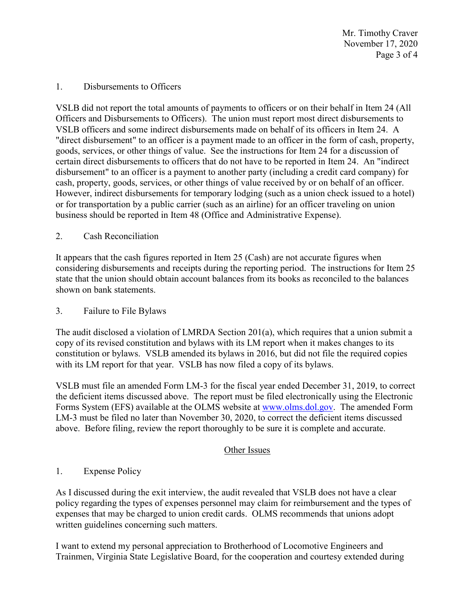Mr. Timothy Craver November 17, 2020 Page 3 of 4

### 1. Disbursements to Officers

VSLB did not report the total amounts of payments to officers or on their behalf in Item 24 (All Officers and Disbursements to Officers). The union must report most direct disbursements to VSLB officers and some indirect disbursements made on behalf of its officers in Item 24. A "direct disbursement" to an officer is a payment made to an officer in the form of cash, property, goods, services, or other things of value. See the instructions for Item 24 for a discussion of certain direct disbursements to officers that do not have to be reported in Item 24. An "indirect disbursement" to an officer is a payment to another party (including a credit card company) for cash, property, goods, services, or other things of value received by or on behalf of an officer. However, indirect disbursements for temporary lodging (such as a union check issued to a hotel) or for transportation by a public carrier (such as an airline) for an officer traveling on union business should be reported in Item 48 (Office and Administrative Expense).

2. Cash Reconciliation

It appears that the cash figures reported in Item 25 (Cash) are not accurate figures when considering disbursements and receipts during the reporting period. The instructions for Item 25 state that the union should obtain account balances from its books as reconciled to the balances shown on bank statements.

3. Failure to File Bylaws

 with its LM report for that year. VSLB has now filed a copy of its bylaws. The audit disclosed a violation of LMRDA Section 201(a), which requires that a union submit a copy of its revised constitution and bylaws with its LM report when it makes changes to its constitution or bylaws. VSLB amended its bylaws in 2016, but did not file the required copies

 VSLB must file an amended Form LM-3 for the fiscal year ended December 31, 2019, to correct the deficient items discussed above. The report must be filed electronically using the Electronic Forms System (EFS) available at the OLMS website at [www.olms.dol.gov.](www.olms.dol.gov) The amended Form LM-3 must be filed no later than November 30, 2020, to correct the deficient items discussed above. Before filing, review the report thoroughly to be sure it is complete and accurate.

## Other Issues

## 1. Expense Policy

 As I discussed during the exit interview, the audit revealed that VSLB does not have a clear policy regarding the types of expenses personnel may claim for reimbursement and the types of expenses that may be charged to union credit cards. OLMS recommends that unions adopt written guidelines concerning such matters.

 Trainmen, Virginia State Legislative Board, for the cooperation and courtesy extended during I want to extend my personal appreciation to Brotherhood of Locomotive Engineers and